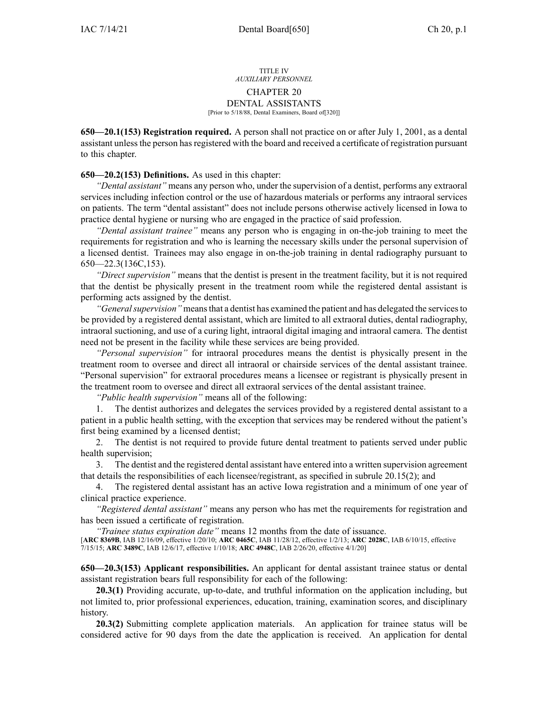## TITLE IV *AUXILIARY PERSONNEL* CHAPTER 20 DENTAL ASSISTANTS [Prior to 5/18/88, Dental Examiners, Board of[320]]

**650—20.1(153) Registration required.** A person shall not practice on or after July 1, 2001, as <sup>a</sup> dental assistant unless the person has registered with the board and received a certificate of registration pursuant to this chapter.

## **650—20.2(153) Definitions.** As used in this chapter:

*"Dental assistant"* means any person who, under the supervision of <sup>a</sup> dentist, performs any extraoral services including infection control or the use of hazardous materials or performs any intraoral services on patients. The term "dental assistant" does not include persons otherwise actively licensed in Iowa to practice dental hygiene or nursing who are engaged in the practice of said profession.

*"Dental assistant trainee"* means any person who is engaging in on-the-job training to meet the requirements for registration and who is learning the necessary skills under the personal supervision of <sup>a</sup> licensed dentist. Trainees may also engage in on-the-job training in dental radiography pursuan<sup>t</sup> to [650—22.3](https://www.legis.iowa.gov/docs/iac/rule/650.22.3.pdf)(136C,153).

*"Direct supervision"* means that the dentist is presen<sup>t</sup> in the treatment facility, but it is not required that the dentist be physically presen<sup>t</sup> in the treatment room while the registered dental assistant is performing acts assigned by the dentist.

*"Generalsupervision"* meansthat <sup>a</sup> dentist has examined the patient and has delegated the servicesto be provided by <sup>a</sup> registered dental assistant, which are limited to all extraoral duties, dental radiography, intraoral suctioning, and use of <sup>a</sup> curing light, intraoral digital imaging and intraoral camera. The dentist need not be presen<sup>t</sup> in the facility while these services are being provided.

*"Personal supervision"* for intraoral procedures means the dentist is physically presen<sup>t</sup> in the treatment room to oversee and direct all intraoral or chairside services of the dental assistant trainee. "Personal supervision" for extraoral procedures means <sup>a</sup> licensee or registrant is physically presen<sup>t</sup> in the treatment room to oversee and direct all extraoral services of the dental assistant trainee.

*"Public health supervision"* means all of the following:

1. The dentist authorizes and delegates the services provided by <sup>a</sup> registered dental assistant to <sup>a</sup> patient in <sup>a</sup> public health setting, with the exception that services may be rendered without the patient's first being examined by <sup>a</sup> licensed dentist;

2. The dentist is not required to provide future dental treatment to patients served under public health supervision;

3. The dentist and the registered dental assistant have entered into <sup>a</sup> written supervision agreemen<sup>t</sup> that details the responsibilities of each licensee/registrant, as specified in subrule 20.15(2); and

4. The registered dental assistant has an active Iowa registration and <sup>a</sup> minimum of one year of clinical practice experience.

*"Registered dental assistant"* means any person who has met the requirements for registration and has been issued <sup>a</sup> certificate of registration.

*"Trainee status expiration date"* means 12 months from the date of issuance.

[**ARC [8369B](https://www.legis.iowa.gov/docs/aco/arc/8369B.pdf)**, IAB 12/16/09, effective 1/20/10; **ARC [0465C](https://www.legis.iowa.gov/docs/aco/arc/0465C.pdf)**, IAB 11/28/12, effective 1/2/13; **ARC [2028C](https://www.legis.iowa.gov/docs/aco/arc/2028C.pdf)**, IAB 6/10/15, effective 7/15/15; **ARC [3489C](https://www.legis.iowa.gov/docs/aco/arc/3489C.pdf)**, IAB 12/6/17, effective 1/10/18; **ARC [4948C](https://www.legis.iowa.gov/docs/aco/arc/4948C.pdf)**, IAB 2/26/20, effective 4/1/20]

**650—20.3(153) Applicant responsibilities.** An applicant for dental assistant trainee status or dental assistant registration bears full responsibility for each of the following:

**20.3(1)** Providing accurate, up-to-date, and truthful information on the application including, but not limited to, prior professional experiences, education, training, examination scores, and disciplinary history.

**20.3(2)** Submitting complete application materials. An application for trainee status will be considered active for 90 days from the date the application is received. An application for dental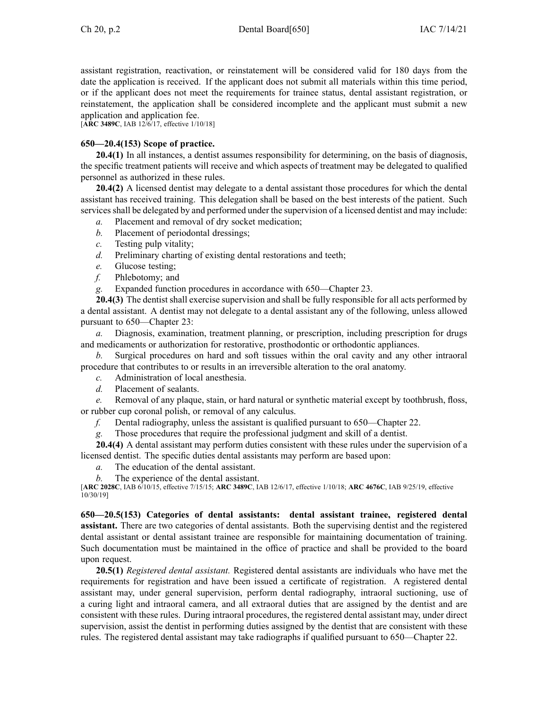assistant registration, reactivation, or reinstatement will be considered valid for 180 days from the date the application is received. If the applicant does not submit all materials within this time period, or if the applicant does not meet the requirements for trainee status, dental assistant registration, or reinstatement, the application shall be considered incomplete and the applicant must submit <sup>a</sup> new application and application fee.

[**ARC [3489C](https://www.legis.iowa.gov/docs/aco/arc/3489C.pdf)**, IAB 12/6/17, effective 1/10/18]

## **650—20.4(153) Scope of practice.**

**20.4(1)** In all instances, <sup>a</sup> dentist assumes responsibility for determining, on the basis of diagnosis, the specific treatment patients will receive and which aspects of treatment may be delegated to qualified personnel as authorized in these rules.

**20.4(2)** A licensed dentist may delegate to <sup>a</sup> dental assistant those procedures for which the dental assistant has received training. This delegation shall be based on the best interests of the patient. Such services shall be delegated by and performed under the supervision of a licensed dentist and may include:

- *a.* Placement and removal of dry socket medication;
- *b.* Placement of periodontal dressings;
- *c.* Testing pulp vitality;
- *d.* Preliminary charting of existing dental restorations and teeth;
- *e.* Glucose testing;
- *f.* Phlebotomy; and
- *g.* Expanded function procedures in accordance with [650—Chapter](https://www.legis.iowa.gov/docs/iac/chapter/650.23.pdf) 23.

**20.4(3)** The dentist shall exercise supervision and shall be fully responsible for all acts performed by <sup>a</sup> dental assistant. A dentist may not delegate to <sup>a</sup> dental assistant any of the following, unless allowed pursuan<sup>t</sup> to [650—Chapter](https://www.legis.iowa.gov/docs/iac/chapter/650.23.pdf) 23:

*a.* Diagnosis, examination, treatment planning, or prescription, including prescription for drugs and medicaments or authorization for restorative, prosthodontic or orthodontic appliances.

*b.* Surgical procedures on hard and soft tissues within the oral cavity and any other intraoral procedure that contributes to or results in an irreversible alteration to the oral anatomy.

- *c.* Administration of local anesthesia.
- *d.* Placement of sealants.

*e.* Removal of any plaque, stain, or hard natural or synthetic material excep<sup>t</sup> by toothbrush, floss, or rubber cup coronal polish, or removal of any calculus.

- *f.* Dental radiography, unless the assistant is qualified pursuan<sup>t</sup> to [650—Chapter](https://www.legis.iowa.gov/docs/iac/chapter/650.22.pdf) 22.
- *g.* Those procedures that require the professional judgment and skill of <sup>a</sup> dentist.

**20.4(4)** A dental assistant may perform duties consistent with these rules under the supervision of <sup>a</sup> licensed dentist. The specific duties dental assistants may perform are based upon:

- *a.* The education of the dental assistant.
- *b.* The experience of the dental assistant.

[**ARC [2028C](https://www.legis.iowa.gov/docs/aco/arc/2028C.pdf)**, IAB 6/10/15, effective 7/15/15; **ARC [3489C](https://www.legis.iowa.gov/docs/aco/arc/3489C.pdf)**, IAB 12/6/17, effective 1/10/18; **ARC [4676C](https://www.legis.iowa.gov/docs/aco/arc/4676C.pdf)**, IAB 9/25/19, effective 10/30/19]

**650—20.5(153) Categories of dental assistants: dental assistant trainee, registered dental assistant.** There are two categories of dental assistants. Both the supervising dentist and the registered dental assistant or dental assistant trainee are responsible for maintaining documentation of training. Such documentation must be maintained in the office of practice and shall be provided to the board upon request.

**20.5(1)** *Registered dental assistant.* Registered dental assistants are individuals who have met the requirements for registration and have been issued <sup>a</sup> certificate of registration. A registered dental assistant may, under general supervision, perform dental radiography, intraoral suctioning, use of <sup>a</sup> curing light and intraoral camera, and all extraoral duties that are assigned by the dentist and are consistent with these rules. During intraoral procedures, the registered dental assistant may, under direct supervision, assist the dentist in performing duties assigned by the dentist that are consistent with these rules. The registered dental assistant may take radiographs if qualified pursuan<sup>t</sup> to [650—Chapter](https://www.legis.iowa.gov/docs/iac/chapter/650.22.pdf) 22.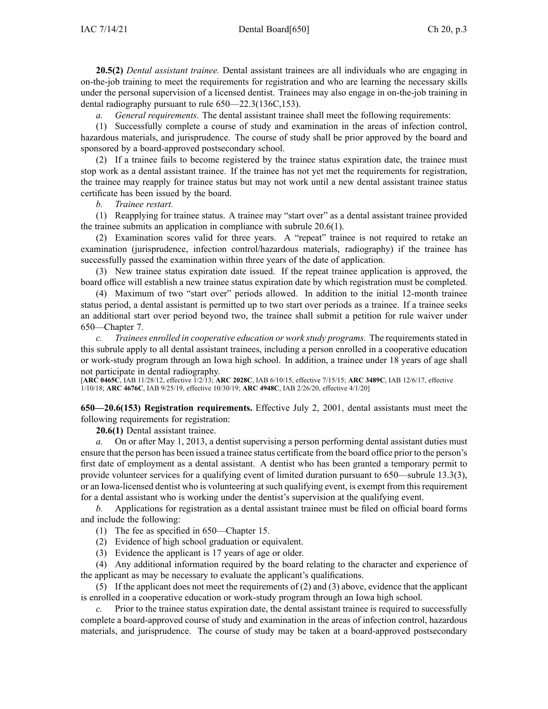**20.5(2)** *Dental assistant trainee.* Dental assistant trainees are all individuals who are engaging in on-the-job training to meet the requirements for registration and who are learning the necessary skills under the personal supervision of <sup>a</sup> licensed dentist. Trainees may also engage in on-the-job training in dental radiography pursuan<sup>t</sup> to rule [650—22.3](https://www.legis.iowa.gov/docs/iac/rule/650.22.3.pdf)(136C,153).

*a. General requirements.* The dental assistant trainee shall meet the following requirements:

(1) Successfully complete <sup>a</sup> course of study and examination in the areas of infection control, hazardous materials, and jurisprudence. The course of study shall be prior approved by the board and sponsored by <sup>a</sup> board-approved postsecondary school.

(2) If <sup>a</sup> trainee fails to become registered by the trainee status expiration date, the trainee must stop work as <sup>a</sup> dental assistant trainee. If the trainee has not ye<sup>t</sup> met the requirements for registration, the trainee may reapply for trainee status but may not work until <sup>a</sup> new dental assistant trainee status certificate has been issued by the board.

*b. Trainee restart.*

(1) Reapplying for trainee status. A trainee may "start over" as <sup>a</sup> dental assistant trainee provided the trainee submits an application in compliance with subrule [20.6\(1\)](https://www.legis.iowa.gov/docs/iac/rule/650.20.6.pdf).

(2) Examination scores valid for three years. A "repeat" trainee is not required to retake an examination (jurisprudence, infection control/hazardous materials, radiography) if the trainee has successfully passed the examination within three years of the date of application.

(3) New trainee status expiration date issued. If the repea<sup>t</sup> trainee application is approved, the board office will establish <sup>a</sup> new trainee status expiration date by which registration must be completed.

(4) Maximum of two "start over" periods allowed. In addition to the initial 12-month trainee status period, <sup>a</sup> dental assistant is permitted up to two start over periods as <sup>a</sup> trainee. If <sup>a</sup> trainee seeks an additional start over period beyond two, the trainee shall submit <sup>a</sup> petition for rule waiver under [650—Chapter](https://www.legis.iowa.gov/docs/iac/chapter/650.7.pdf) 7.

*c. Trainees enrolled in cooperative education or work study programs.* The requirementsstated in this subrule apply to all dental assistant trainees, including <sup>a</sup> person enrolled in <sup>a</sup> cooperative education or work-study program through an Iowa high school. In addition, <sup>a</sup> trainee under 18 years of age shall not participate in dental radiography.

[**ARC [0465C](https://www.legis.iowa.gov/docs/aco/arc/0465C.pdf)**, IAB 11/28/12, effective 1/2/13; **ARC [2028C](https://www.legis.iowa.gov/docs/aco/arc/2028C.pdf)**, IAB 6/10/15, effective 7/15/15; **ARC [3489C](https://www.legis.iowa.gov/docs/aco/arc/3489C.pdf)**, IAB 12/6/17, effective 1/10/18; **ARC [4676C](https://www.legis.iowa.gov/docs/aco/arc/4676C.pdf)**, IAB 9/25/19, effective 10/30/19; **ARC [4948C](https://www.legis.iowa.gov/docs/aco/arc/4948C.pdf)**, IAB 2/26/20, effective 4/1/20]

**650—20.6(153) Registration requirements.** Effective July 2, 2001, dental assistants must meet the following requirements for registration:

**20.6(1)** Dental assistant trainee.

*a.* On or after May 1, 2013, <sup>a</sup> dentist supervising <sup>a</sup> person performing dental assistant duties must ensure that the person has been issued <sup>a</sup> trainee status certificate from the board office prior to the person's first date of employment as <sup>a</sup> dental assistant. A dentist who has been granted <sup>a</sup> temporary permit to provide volunteer services for <sup>a</sup> qualifying event of limited duration pursuan<sup>t</sup> to [650—subrule](https://www.legis.iowa.gov/docs/iac/rule/650.13.3.pdf) 13.3(3), or an Iowa-licensed dentist who is volunteering atsuch qualifying event, is exemp<sup>t</sup> from thisrequirement for <sup>a</sup> dental assistant who is working under the dentist's supervision at the qualifying event.

*b.* Applications for registration as <sup>a</sup> dental assistant trainee must be filed on official board forms and include the following:

(1) The fee as specified in [650—Chapter](https://www.legis.iowa.gov/docs/iac/chapter/650.15.pdf) 15.

(2) Evidence of high school graduation or equivalent.

(3) Evidence the applicant is 17 years of age or older.

(4) Any additional information required by the board relating to the character and experience of the applicant as may be necessary to evaluate the applicant's qualifications.

(5) If the applicant does not meet the requirements of (2) and (3) above, evidence that the applicant is enrolled in <sup>a</sup> cooperative education or work-study program through an Iowa high school.

*c.* Prior to the trainee status expiration date, the dental assistant trainee is required to successfully complete <sup>a</sup> board-approved course of study and examination in the areas of infection control, hazardous materials, and jurisprudence. The course of study may be taken at <sup>a</sup> board-approved postsecondary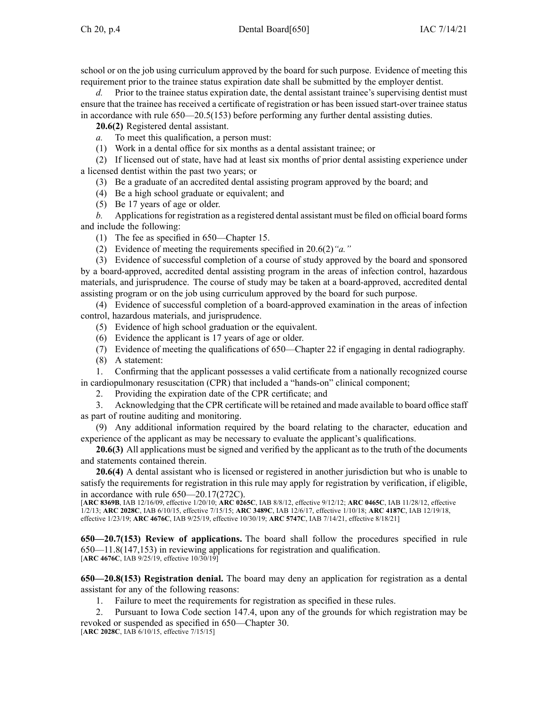school or on the job using curriculum approved by the board for such purpose. Evidence of meeting this requirement prior to the trainee status expiration date shall be submitted by the employer dentist.

Prior to the trainee status expiration date, the dental assistant trainee's supervising dentist must ensure that the trainee has received <sup>a</sup> certificate of registration or has been issued start-over trainee status in accordance with rule [650—20.5](https://www.legis.iowa.gov/docs/iac/rule/650.20.5.pdf)(153) before performing any further dental assisting duties.

**20.6(2)** Registered dental assistant.

*a.* To meet this qualification, <sup>a</sup> person must:

(1) Work in <sup>a</sup> dental office for six months as <sup>a</sup> dental assistant trainee; or

(2) If licensed out of state, have had at least six months of prior dental assisting experience under <sup>a</sup> licensed dentist within the pas<sup>t</sup> two years; or

(3) Be <sup>a</sup> graduate of an accredited dental assisting program approved by the board; and

(4) Be <sup>a</sup> high school graduate or equivalent; and

(5) Be 17 years of age or older.

*b.* Applications for registration as a registered dental assistant must be filed on official board forms and include the following:

(1) The fee as specified in [650—Chapter](https://www.legis.iowa.gov/docs/iac/chapter/650.15.pdf) 15.

(2) Evidence of meeting the requirements specified in [20.6\(2\)](https://www.legis.iowa.gov/docs/iac/rule/650.20.6.pdf)*"a."*

(3) Evidence of successful completion of <sup>a</sup> course of study approved by the board and sponsored by <sup>a</sup> board-approved, accredited dental assisting program in the areas of infection control, hazardous materials, and jurisprudence. The course of study may be taken at <sup>a</sup> board-approved, accredited dental assisting program or on the job using curriculum approved by the board for such purpose.

(4) Evidence of successful completion of <sup>a</sup> board-approved examination in the areas of infection control, hazardous materials, and jurisprudence.

(5) Evidence of high school graduation or the equivalent.

(6) Evidence the applicant is 17 years of age or older.

(7) Evidence of meeting the qualifications of [650—Chapter](https://www.legis.iowa.gov/docs/iac/chapter/650.22.pdf) 22 if engaging in dental radiography.

(8) A statement:

1. Confirming that the applicant possesses <sup>a</sup> valid certificate from <sup>a</sup> nationally recognized course in cardiopulmonary resuscitation (CPR) that included <sup>a</sup> "hands-on" clinical component;

2. Providing the expiration date of the CPR certificate; and

3. Acknowledging that the CPR certificate will be retained and made available to board office staff as par<sup>t</sup> of routine auditing and monitoring.

(9) Any additional information required by the board relating to the character, education and experience of the applicant as may be necessary to evaluate the applicant's qualifications.

**20.6(3)** All applications must be signed and verified by the applicant as to the truth of the documents and statements contained therein.

**20.6(4)** A dental assistant who is licensed or registered in another jurisdiction but who is unable to satisfy the requirements for registration in this rule may apply for registration by verification, if eligible, in accordance with rule [650—20.17](https://www.legis.iowa.gov/docs/iac/rule/650.20.17.pdf)(272C).

[**ARC [8369B](https://www.legis.iowa.gov/docs/aco/arc/8369B.pdf)**, IAB 12/16/09, effective 1/20/10; **ARC [0265C](https://www.legis.iowa.gov/docs/aco/arc/0265C.pdf)**, IAB 8/8/12, effective 9/12/12; **ARC [0465C](https://www.legis.iowa.gov/docs/aco/arc/0465C.pdf)**, IAB 11/28/12, effective 1/2/13; **ARC [2028C](https://www.legis.iowa.gov/docs/aco/arc/2028C.pdf)**, IAB 6/10/15, effective 7/15/15; **ARC [3489C](https://www.legis.iowa.gov/docs/aco/arc/3489C.pdf)**, IAB 12/6/17, effective 1/10/18; **ARC [4187C](https://www.legis.iowa.gov/docs/aco/arc/4187C.pdf)**, IAB 12/19/18, effective 1/23/19; **ARC [4676C](https://www.legis.iowa.gov/docs/aco/arc/4676C.pdf)**, IAB 9/25/19, effective 10/30/19; **ARC [5747C](https://www.legis.iowa.gov/docs/aco/arc/5747C.pdf)**, IAB 7/14/21, effective 8/18/21]

**650—20.7(153) Review of applications.** The board shall follow the procedures specified in rule [650—11.8](https://www.legis.iowa.gov/docs/iac/rule/650.11.8.pdf)(147,153) in reviewing applications for registration and qualification. [**ARC [4676C](https://www.legis.iowa.gov/docs/aco/arc/4676C.pdf)**, IAB 9/25/19, effective 10/30/19]

**650—20.8(153) Registration denial.** The board may deny an application for registration as <sup>a</sup> dental assistant for any of the following reasons:

1. Failure to meet the requirements for registration as specified in these rules.

2. Pursuant to Iowa Code section [147.4](https://www.legis.iowa.gov/docs/ico/section/147.4.pdf), upon any of the grounds for which registration may be revoked or suspended as specified in 650—Chapter 30.

[**ARC [2028C](https://www.legis.iowa.gov/docs/aco/arc/2028C.pdf)**, IAB 6/10/15, effective 7/15/15]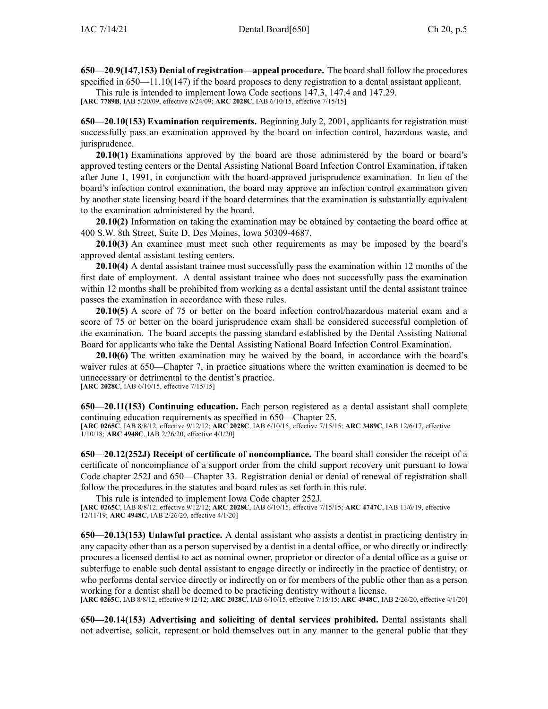**650—20.9(147,153) Denial of registration—appeal procedure.** The board shall follow the procedures specified in [650—11.10](https://www.legis.iowa.gov/docs/iac/rule/650.11.10.pdf)(147) if the board proposes to deny registration to <sup>a</sup> dental assistant applicant.

This rule is intended to implement Iowa Code sections [147.3](https://www.legis.iowa.gov/docs/ico/section/147.3.pdf), [147.4](https://www.legis.iowa.gov/docs/ico/section/147.4.pdf) and [147.29](https://www.legis.iowa.gov/docs/ico/section/147.29.pdf).

[**ARC [7789B](https://www.legis.iowa.gov/docs/aco/arc/7789B.pdf)**, IAB 5/20/09, effective 6/24/09; **ARC [2028C](https://www.legis.iowa.gov/docs/aco/arc/2028C.pdf)**, IAB 6/10/15, effective 7/15/15]

**650—20.10(153) Examination requirements.** Beginning July 2, 2001, applicants for registration must successfully pass an examination approved by the board on infection control, hazardous waste, and jurisprudence.

**20.10(1)** Examinations approved by the board are those administered by the board or board's approved testing centers or the Dental Assisting National Board Infection Control Examination, if taken after June 1, 1991, in conjunction with the board-approved jurisprudence examination. In lieu of the board's infection control examination, the board may approve an infection control examination given by another state licensing board if the board determines that the examination is substantially equivalent to the examination administered by the board.

**20.10(2)** Information on taking the examination may be obtained by contacting the board office at 400 S.W. 8th Street, Suite D, Des Moines, Iowa 50309-4687.

**20.10(3)** An examinee must meet such other requirements as may be imposed by the board's approved dental assistant testing centers.

**20.10(4)** A dental assistant trainee must successfully pass the examination within 12 months of the first date of employment. A dental assistant trainee who does not successfully pass the examination within 12 months shall be prohibited from working as a dental assistant until the dental assistant trainee passes the examination in accordance with these rules.

**20.10(5)** A score of 75 or better on the board infection control/hazardous material exam and <sup>a</sup> score of 75 or better on the board jurisprudence exam shall be considered successful completion of the examination. The board accepts the passing standard established by the Dental Assisting National Board for applicants who take the Dental Assisting National Board Infection Control Examination.

**20.10(6)** The written examination may be waived by the board, in accordance with the board's waiver rules at [650—Chapter](https://www.legis.iowa.gov/docs/iac/chapter/650.7.pdf) 7, in practice situations where the written examination is deemed to be unnecessary or detrimental to the dentist's practice. [**ARC [2028C](https://www.legis.iowa.gov/docs/aco/arc/2028C.pdf)**, IAB 6/10/15, effective 7/15/15]

**650—20.11(153) Continuing education.** Each person registered as <sup>a</sup> dental assistant shall complete continuing education requirements as specified in 650—Chapter 25.

[**ARC [0265C](https://www.legis.iowa.gov/docs/aco/arc/0265C.pdf)**, IAB 8/8/12, effective 9/12/12; **ARC [2028C](https://www.legis.iowa.gov/docs/aco/arc/2028C.pdf)**, IAB 6/10/15, effective 7/15/15; **ARC [3489C](https://www.legis.iowa.gov/docs/aco/arc/3489C.pdf)**, IAB 12/6/17, effective 1/10/18; **ARC [4948C](https://www.legis.iowa.gov/docs/aco/arc/4948C.pdf)**, IAB 2/26/20, effective 4/1/20]

**650—20.12(252J) Receipt of certificate of noncompliance.** The board shall consider the receipt of <sup>a</sup> certificate of noncompliance of <sup>a</sup> suppor<sup>t</sup> order from the child suppor<sup>t</sup> recovery unit pursuan<sup>t</sup> to Iowa Code chapter [252J](https://www.legis.iowa.gov/docs/ico/chapter/252J.pdf) and [650—Chapter](https://www.legis.iowa.gov/docs/iac/chapter/650.33.pdf) 33. Registration denial or denial of renewal of registration shall follow the procedures in the statutes and board rules as set forth in this rule.

This rule is intended to implement Iowa Code chapter [252J](https://www.legis.iowa.gov/docs/ico/chapter/252J.pdf).

[**ARC [0265C](https://www.legis.iowa.gov/docs/aco/arc/0265C.pdf)**, IAB 8/8/12, effective 9/12/12; **ARC [2028C](https://www.legis.iowa.gov/docs/aco/arc/2028C.pdf)**, IAB 6/10/15, effective 7/15/15; **ARC [4747C](https://www.legis.iowa.gov/docs/aco/arc/4747C.pdf)**, IAB 11/6/19, effective 12/11/19; **ARC [4948C](https://www.legis.iowa.gov/docs/aco/arc/4948C.pdf)**, IAB 2/26/20, effective 4/1/20]

**650—20.13(153) Unlawful practice.** A dental assistant who assists <sup>a</sup> dentist in practicing dentistry in any capacity other than as <sup>a</sup> person supervised by <sup>a</sup> dentist in <sup>a</sup> dental office, or who directly or indirectly procures <sup>a</sup> licensed dentist to act as nominal owner, proprietor or director of <sup>a</sup> dental office as <sup>a</sup> guise or subterfuge to enable such dental assistant to engage directly or indirectly in the practice of dentistry, or who performs dental service directly or indirectly on or for members of the public other than as <sup>a</sup> person working for <sup>a</sup> dentist shall be deemed to be practicing dentistry without <sup>a</sup> license. [**ARC [0265C](https://www.legis.iowa.gov/docs/aco/arc/0265C.pdf)**, IAB 8/8/12, effective 9/12/12; **ARC [2028C](https://www.legis.iowa.gov/docs/aco/arc/2028C.pdf)**, IAB 6/10/15, effective 7/15/15; **ARC [4948C](https://www.legis.iowa.gov/docs/aco/arc/4948C.pdf)**, IAB 2/26/20, effective 4/1/20]

**650—20.14(153) Advertising and soliciting of dental services prohibited.** Dental assistants shall not advertise, solicit, represen<sup>t</sup> or hold themselves out in any manner to the general public that they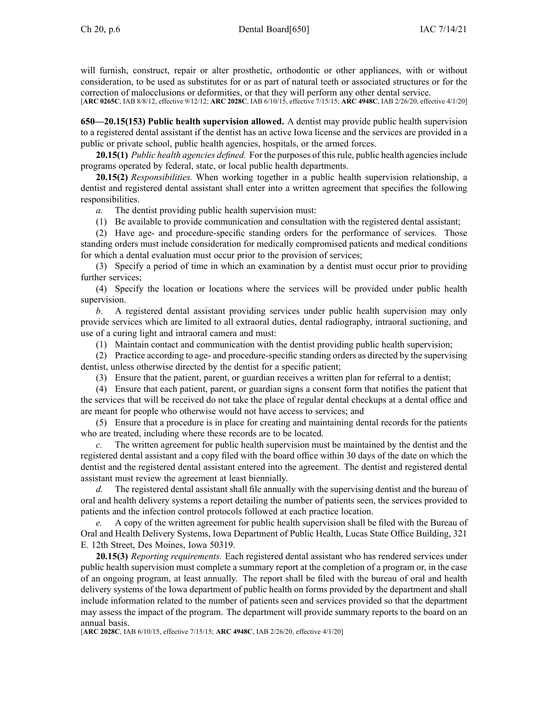will furnish, construct, repair or alter prosthetic, orthodontic or other appliances, with or without consideration, to be used as substitutes for or as par<sup>t</sup> of natural teeth or associated structures or for the correction of malocclusions or deformities, or that they will perform any other dental service.

[**ARC [0265C](https://www.legis.iowa.gov/docs/aco/arc/0265C.pdf)**, IAB 8/8/12, effective 9/12/12; **ARC [2028C](https://www.legis.iowa.gov/docs/aco/arc/2028C.pdf)**, IAB 6/10/15, effective 7/15/15; **ARC [4948C](https://www.legis.iowa.gov/docs/aco/arc/4948C.pdf)**, IAB 2/26/20, effective 4/1/20]

**650—20.15(153) Public health supervision allowed.** A dentist may provide public health supervision to <sup>a</sup> registered dental assistant if the dentist has an active Iowa license and the services are provided in <sup>a</sup> public or private school, public health agencies, hospitals, or the armed forces.

**20.15(1)** *Public health agencies defined.* For the purposes of thisrule, public health agenciesinclude programs operated by federal, state, or local public health departments.

**20.15(2)** *Responsibilities.* When working together in <sup>a</sup> public health supervision relationship, <sup>a</sup> dentist and registered dental assistant shall enter into <sup>a</sup> written agreemen<sup>t</sup> that specifies the following responsibilities.

*a.* The dentist providing public health supervision must:

(1) Be available to provide communication and consultation with the registered dental assistant;

(2) Have age- and procedure-specific standing orders for the performance of services. Those standing orders must include consideration for medically compromised patients and medical conditions for which <sup>a</sup> dental evaluation must occur prior to the provision of services;

(3) Specify <sup>a</sup> period of time in which an examination by <sup>a</sup> dentist must occur prior to providing further services;

(4) Specify the location or locations where the services will be provided under public health supervision.

*b.* A registered dental assistant providing services under public health supervision may only provide services which are limited to all extraoral duties, dental radiography, intraoral suctioning, and use of <sup>a</sup> curing light and intraoral camera and must:

(1) Maintain contact and communication with the dentist providing public health supervision;

(2) Practice according to age- and procedure-specific standing orders as directed by the supervising dentist, unless otherwise directed by the dentist for <sup>a</sup> specific patient;

(3) Ensure that the patient, parent, or guardian receives <sup>a</sup> written plan for referral to <sup>a</sup> dentist;

(4) Ensure that each patient, parent, or guardian signs <sup>a</sup> consent form that notifies the patient that the services that will be received do not take the place of regular dental checkups at <sup>a</sup> dental office and are meant for people who otherwise would not have access to services; and

(5) Ensure that <sup>a</sup> procedure is in place for creating and maintaining dental records for the patients who are treated, including where these records are to be located.

*c.* The written agreemen<sup>t</sup> for public health supervision must be maintained by the dentist and the registered dental assistant and <sup>a</sup> copy filed with the board office within 30 days of the date on which the dentist and the registered dental assistant entered into the agreement. The dentist and registered dental assistant must review the agreemen<sup>t</sup> at least biennially.

*d.* The registered dental assistant shall file annually with the supervising dentist and the bureau of oral and health delivery systems <sup>a</sup> repor<sup>t</sup> detailing the number of patients seen, the services provided to patients and the infection control protocols followed at each practice location.

*e.* A copy of the written agreemen<sup>t</sup> for public health supervision shall be filed with the Bureau of Oral and Health Delivery Systems, Iowa Department of Public Health, Lucas State Office Building, 321 E. 12th Street, Des Moines, Iowa 50319.

**20.15(3)** *Reporting requirements.* Each registered dental assistant who has rendered services under public health supervision must complete <sup>a</sup> summary repor<sup>t</sup> at the completion of <sup>a</sup> program or, in the case of an ongoing program, at least annually. The repor<sup>t</sup> shall be filed with the bureau of oral and health delivery systems of the Iowa department of public health on forms provided by the department and shall include information related to the number of patients seen and services provided so that the department may assess the impact of the program. The department will provide summary reports to the board on an annual basis.

[**ARC [2028C](https://www.legis.iowa.gov/docs/aco/arc/2028C.pdf)**, IAB 6/10/15, effective 7/15/15; **ARC [4948C](https://www.legis.iowa.gov/docs/aco/arc/4948C.pdf)**, IAB 2/26/20, effective 4/1/20]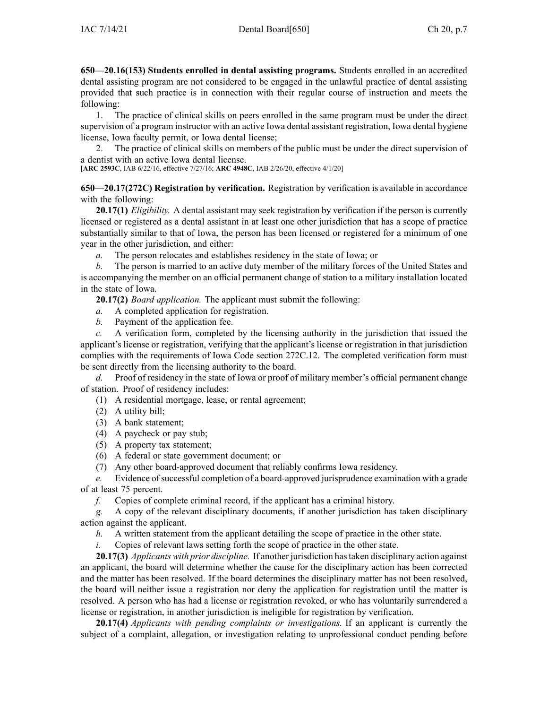**650—20.16(153) Students enrolled in dental assisting programs.** Students enrolled in an accredited dental assisting program are not considered to be engaged in the unlawful practice of dental assisting provided that such practice is in connection with their regular course of instruction and meets the following:

1. The practice of clinical skills on peers enrolled in the same program must be under the direct supervision of <sup>a</sup> program instructor with an active Iowa dental assistant registration, Iowa dental hygiene license, Iowa faculty permit, or Iowa dental license;

2. The practice of clinical skills on members of the public must be under the direct supervision of <sup>a</sup> dentist with an active Iowa dental license.

[**ARC [2593C](https://www.legis.iowa.gov/docs/aco/arc/2593C.pdf)**, IAB 6/22/16, effective 7/27/16; **ARC [4948C](https://www.legis.iowa.gov/docs/aco/arc/4948C.pdf)**, IAB 2/26/20, effective 4/1/20]

**650—20.17(272C) Registration by verification.** Registration by verification is available in accordance with the following:

**20.17(1)** *Eligibility.* A dental assistant may seek registration by verification if the person is currently licensed or registered as <sup>a</sup> dental assistant in at least one other jurisdiction that has <sup>a</sup> scope of practice substantially similar to that of Iowa, the person has been licensed or registered for <sup>a</sup> minimum of one year in the other jurisdiction, and either:

*a.* The person relocates and establishes residency in the state of Iowa; or

*b.* The person is married to an active duty member of the military forces of the United States and is accompanying the member on an official permanen<sup>t</sup> change of station to <sup>a</sup> military installation located in the state of Iowa.

**20.17(2)** *Board application.* The applicant must submit the following:

- *a.* A completed application for registration.
- *b.* Payment of the application fee.

*c.* A verification form, completed by the licensing authority in the jurisdiction that issued the applicant's license or registration, verifying that the applicant's license or registration in that jurisdiction complies with the requirements of Iowa Code section [272C.12](https://www.legis.iowa.gov/docs/ico/section/272C.12.pdf). The completed verification form must be sent directly from the licensing authority to the board.

*d.* Proof of residency in the state of Iowa or proof of military member's official permanen<sup>t</sup> change of station. Proof of residency includes:

- (1) A residential mortgage, lease, or rental agreement;
- (2) A utility bill;
- (3) A bank statement;
- (4) A paycheck or pay stub;
- (5) A property tax statement;
- (6) A federal or state governmen<sup>t</sup> document; or
- (7) Any other board-approved document that reliably confirms Iowa residency.

*e.* Evidence of successful completion of a board-approved jurisprudence examination with a grade of at least 75 percent.

*f.* Copies of complete criminal record, if the applicant has <sup>a</sup> criminal history.

*g.* A copy of the relevant disciplinary documents, if another jurisdiction has taken disciplinary action against the applicant.

- *h.* A written statement from the applicant detailing the scope of practice in the other state.
- *i.* Copies of relevant laws setting forth the scope of practice in the other state.

**20.17(3)** *Applicants with prior discipline.* If another jurisdiction hastaken disciplinary action against an applicant, the board will determine whether the cause for the disciplinary action has been corrected and the matter has been resolved. If the board determines the disciplinary matter has not been resolved, the board will neither issue <sup>a</sup> registration nor deny the application for registration until the matter is resolved. A person who has had <sup>a</sup> license or registration revoked, or who has voluntarily surrendered <sup>a</sup> license or registration, in another jurisdiction is ineligible for registration by verification.

**20.17(4)** *Applicants with pending complaints or investigations.* If an applicant is currently the subject of <sup>a</sup> complaint, allegation, or investigation relating to unprofessional conduct pending before